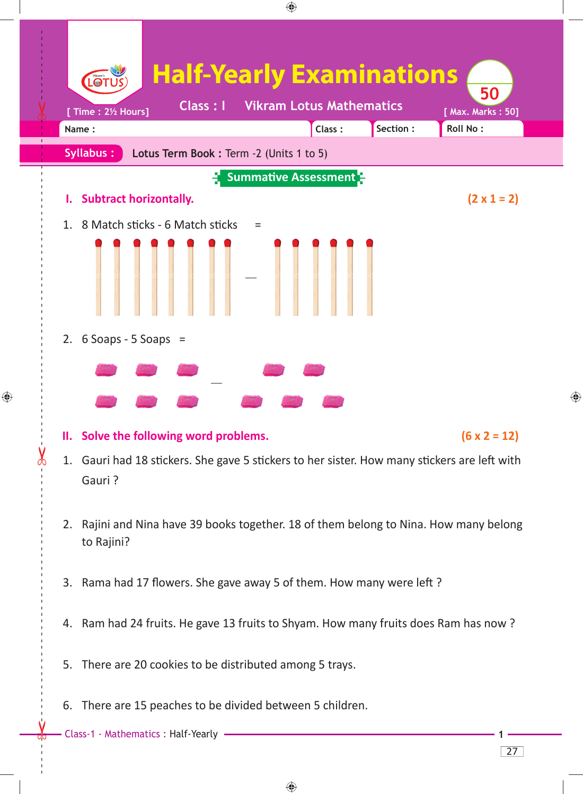

 $\bigoplus$ 

27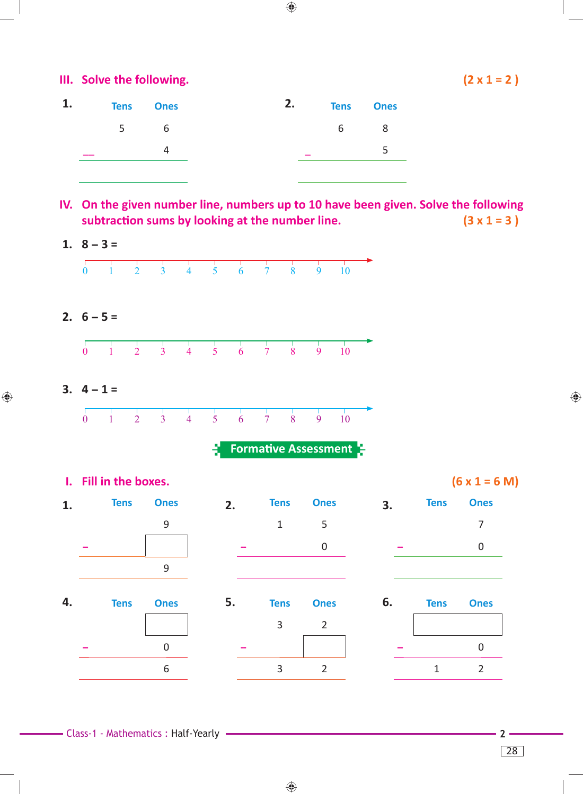| 1. |   | <b>Tens</b> Ones | 2. |   | <b>Tens</b> Ones |
|----|---|------------------|----|---|------------------|
|    | 5 | 6                |    | 6 | 8                |
|    |   |                  |    |   |                  |
|    |   |                  |    |   |                  |

**IV. On the given number line, numbers up to 10 have been given. Solve the following subtraction sums by looking at the number line.**  $(3 \times 1 = 3)$ 

 $\bigoplus$ 



 $\bigoplus$ 

⊕

◈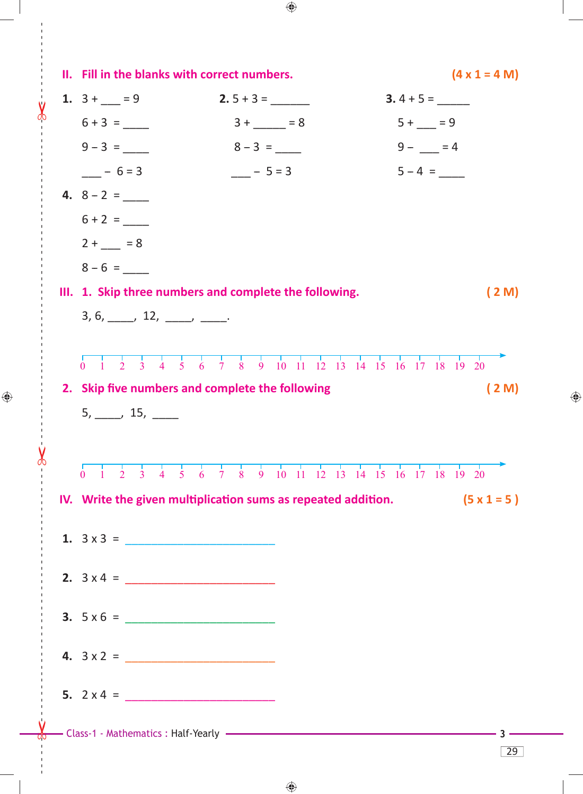| II. Fill in the blanks with correct numbers.                                   |                                                                                                                                                                                                                              | $(4 \times 1 = 4 M)$ |  |  |  |  |
|--------------------------------------------------------------------------------|------------------------------------------------------------------------------------------------------------------------------------------------------------------------------------------------------------------------------|----------------------|--|--|--|--|
| 1. $3 + - = 9$                                                                 | $2.5 + 3 =$                                                                                                                                                                                                                  | $3.4 + 5 =$          |  |  |  |  |
|                                                                                | $3 + \_ = 8$                                                                                                                                                                                                                 | $5 + \_ = 9$         |  |  |  |  |
| $9 - 3 =$                                                                      | $8 - 3 =$                                                                                                                                                                                                                    | $9 -  = 4$           |  |  |  |  |
| $- 6 = 3$                                                                      | $- - 5 = 3$                                                                                                                                                                                                                  | $5 - 4 =$            |  |  |  |  |
|                                                                                |                                                                                                                                                                                                                              |                      |  |  |  |  |
| $6 + 2 =$                                                                      |                                                                                                                                                                                                                              |                      |  |  |  |  |
| $2 + 8 = 8$                                                                    |                                                                                                                                                                                                                              |                      |  |  |  |  |
| $8 - 6 =$                                                                      |                                                                                                                                                                                                                              |                      |  |  |  |  |
| III. 1. Skip three numbers and complete the following.<br>(2M)                 |                                                                                                                                                                                                                              |                      |  |  |  |  |
| $3, 6, \underline{\qquad}$ , 12, $\underline{\qquad}$ , $\underline{\qquad}$ . |                                                                                                                                                                                                                              |                      |  |  |  |  |
|                                                                                |                                                                                                                                                                                                                              |                      |  |  |  |  |
| $\overline{2}$<br>0                                                            | 3 4 5 6 7 8 9 10 11 12 13 14 15 16 17 18 19 20                                                                                                                                                                               |                      |  |  |  |  |
| 2. Skip five numbers and complete the following                                |                                                                                                                                                                                                                              | (2M)                 |  |  |  |  |
| $5, \_\_\_$ , 15, $\_\_\_\_$                                                   |                                                                                                                                                                                                                              |                      |  |  |  |  |
|                                                                                |                                                                                                                                                                                                                              |                      |  |  |  |  |
| $\frac{1}{2}$<br>$\frac{1}{3}$<br>$\frac{1}{4}$<br>$\frac{1}{5}$<br>$\Omega$   | $\frac{1}{6}$ $\frac{1}{7}$ $\frac{1}{8}$ $\frac{1}{9}$ $\frac{1}{10}$ $\frac{1}{11}$ $\frac{1}{12}$ $\frac{1}{13}$ $\frac{1}{14}$ $\frac{1}{15}$ $\frac{1}{16}$ $\frac{1}{17}$ $\frac{1}{18}$ $\frac{1}{19}$ $\frac{1}{20}$ |                      |  |  |  |  |
|                                                                                | IV. Write the given multiplication sums as repeated addition.                                                                                                                                                                | $(5 \times 1 = 5)$   |  |  |  |  |
|                                                                                |                                                                                                                                                                                                                              |                      |  |  |  |  |
|                                                                                |                                                                                                                                                                                                                              |                      |  |  |  |  |
|                                                                                |                                                                                                                                                                                                                              |                      |  |  |  |  |
| 2. $3 \times 4 =$                                                              |                                                                                                                                                                                                                              |                      |  |  |  |  |
|                                                                                |                                                                                                                                                                                                                              |                      |  |  |  |  |
|                                                                                |                                                                                                                                                                                                                              |                      |  |  |  |  |
|                                                                                |                                                                                                                                                                                                                              |                      |  |  |  |  |
|                                                                                |                                                                                                                                                                                                                              |                      |  |  |  |  |
|                                                                                |                                                                                                                                                                                                                              |                      |  |  |  |  |
|                                                                                | - Class-1 - Mathematics : Half-Yearly - The Class-1 - Mathematics - Half-Yearly                                                                                                                                              |                      |  |  |  |  |

 $\bigoplus$ 

 $\bigoplus$ 

d

 $\bigoplus$ 

 $\bigoplus$